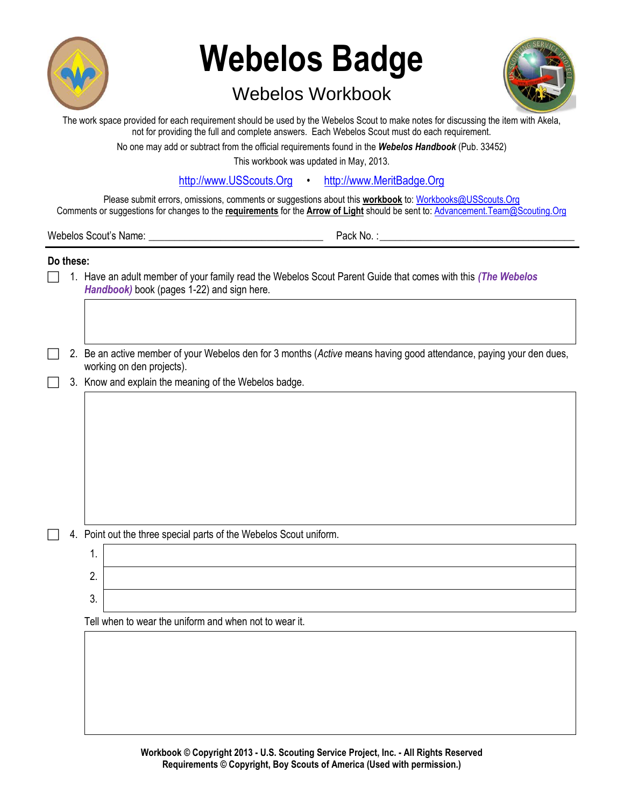

# **Webelos Badge**

# Webelos Workbook



| The work space provided for each requirement should be used by the Webelos Scout to make notes for discussing the item with Akela, |  |
|------------------------------------------------------------------------------------------------------------------------------------|--|
| not for providing the full and complete answers. Each Webelos Scout must do each requirement.                                      |  |

No one may add or subtract from the official requirements found in the *Webelos Handbook* (Pub. 33452)

This workbook was updated in May, 2013.

[http://www.USScouts.Org](http://www.usscouts.org/) · [http://www.MeritBadge.Org](http://www.meritbadge.org/)

Please submit errors, omissions, comments or suggestions about this **workbook** to: [Workbooks@USScouts.Org](mailto:Workbooks@usscouts.org?subject=Merit%20Badge%20Workbooks) Comments or suggestions for changes to the **requirements** for the **Arrow of Light** should be sent to: [Advancement.Team@Scouting.Org](mailto:Advancement.Team@Scouting.Org)

Webelos Scout's Name: \_\_\_\_\_\_\_\_\_\_\_\_\_\_\_\_\_\_\_\_\_\_\_\_\_\_\_\_\_\_\_\_\_\_ Pack No. :\_\_\_\_\_\_\_\_\_\_\_\_\_\_\_\_\_\_\_\_\_\_\_\_\_\_\_\_\_\_\_\_\_\_\_\_\_\_

## **Do these:**

- 1. Have an adult member of your family read the Webelos Scout Parent Guide that comes with this *(The Webelos Handbook)* book (pages 1-22) and sign here.
- 2. Be an active member of your Webelos den for 3 months (*Active* means having good attendance, paying your den dues, working on den projects).
- 3. Know and explain the meaning of the Webelos badge.

- 4. Point out the three special parts of the Webelos Scout uniform.
	- 1. 2. 3.

Tell when to wear the uniform and when not to wear it.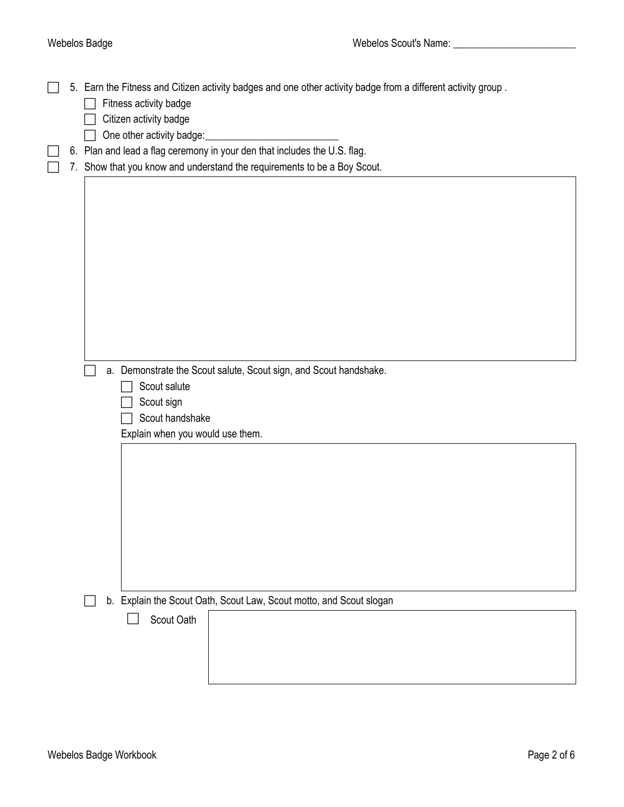5. Earn the Fitness and Citizen activity badges and one other activity badge from a different activity group .  $\Box$  Fitness activity badge  $\Box$  Citizen activity badge  $\Box$  One other activity badge: 6. Plan and lead a flag ceremony in your den that includes the U.S. flag.

 $\Box$  7. Show that you know and understand the requirements to be a Boy Scout.

a. Demonstrate the Scout salute, Scout sign, and Scout handshake.

- $\Box$  Scout salute
- $\Box$  Scout sign
- $\Box$  Scout handshake

Explain when you would use them.

□ b. Explain the Scout Oath, Scout Law, Scout motto, and Scout slogan

Scout Oath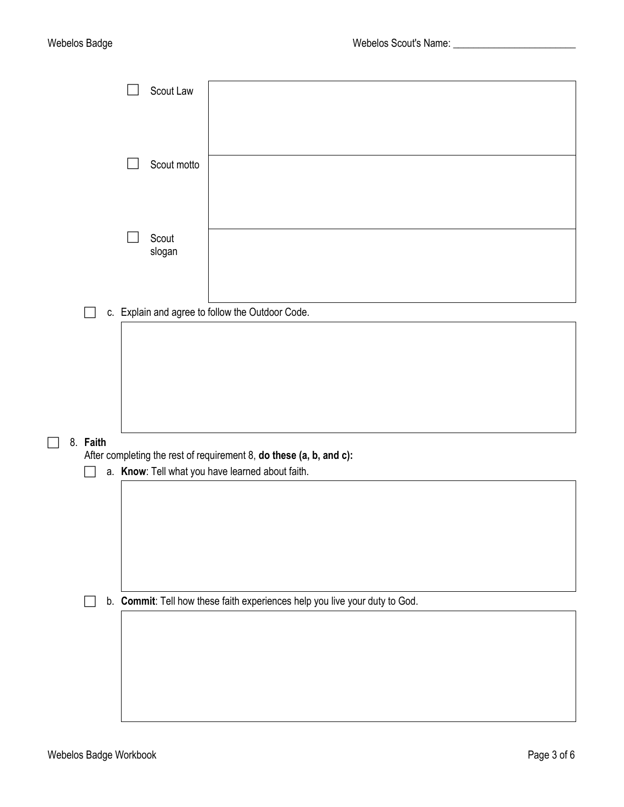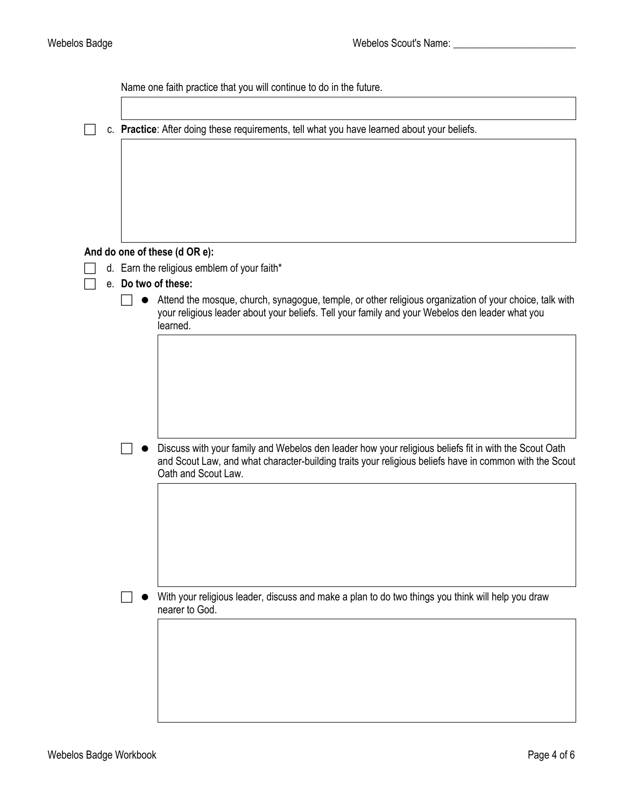Name one faith practice that you will continue to do in the future.

c. **Practice**: After doing these requirements, tell what you have learned about your beliefs.

### **And do one of these (d OR e):**

- $\Box$  d. Earn the religious emblem of your faith\*
- e. **Do two of these:**
	- $\Box$   $\bullet$  Attend the mosque, church, synagogue, temple, or other religious organization of your choice, talk with your religious leader about your beliefs. Tell your family and your Webelos den leader what you learned.

Discuss with your family and Webelos den leader how your religious beliefs fit in with the Scout Oath and Scout Law, and what character-building traits your religious beliefs have in common with the Scout Oath and Scout Law.

 $\Box$   $\bullet$  With your religious leader, discuss and make a plan to do two things you think will help you draw nearer to God.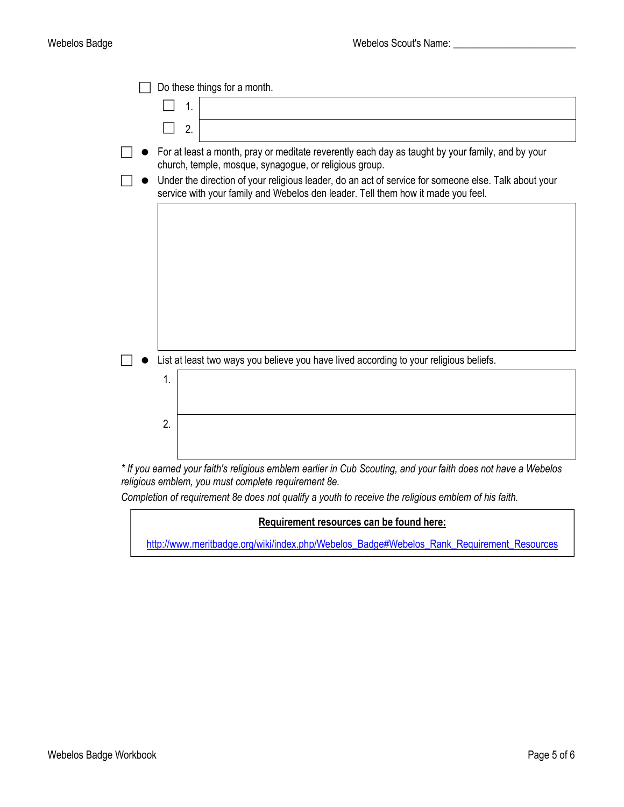|                                                                                        | Do these things for a month.                                                                                                                                                                                                                                                                                                                           |  |  |  |
|----------------------------------------------------------------------------------------|--------------------------------------------------------------------------------------------------------------------------------------------------------------------------------------------------------------------------------------------------------------------------------------------------------------------------------------------------------|--|--|--|
|                                                                                        | $\mathbf{1}$                                                                                                                                                                                                                                                                                                                                           |  |  |  |
|                                                                                        | 2.                                                                                                                                                                                                                                                                                                                                                     |  |  |  |
|                                                                                        | For at least a month, pray or meditate reverently each day as taught by your family, and by your<br>church, temple, mosque, synagogue, or religious group.<br>Under the direction of your religious leader, do an act of service for someone else. Talk about your<br>service with your family and Webelos den leader. Tell them how it made you feel. |  |  |  |
|                                                                                        |                                                                                                                                                                                                                                                                                                                                                        |  |  |  |
|                                                                                        |                                                                                                                                                                                                                                                                                                                                                        |  |  |  |
|                                                                                        |                                                                                                                                                                                                                                                                                                                                                        |  |  |  |
|                                                                                        |                                                                                                                                                                                                                                                                                                                                                        |  |  |  |
|                                                                                        |                                                                                                                                                                                                                                                                                                                                                        |  |  |  |
|                                                                                        |                                                                                                                                                                                                                                                                                                                                                        |  |  |  |
|                                                                                        |                                                                                                                                                                                                                                                                                                                                                        |  |  |  |
| List at least two ways you believe you have lived according to your religious beliefs. |                                                                                                                                                                                                                                                                                                                                                        |  |  |  |
|                                                                                        | 1.                                                                                                                                                                                                                                                                                                                                                     |  |  |  |
|                                                                                        |                                                                                                                                                                                                                                                                                                                                                        |  |  |  |
|                                                                                        | 2.                                                                                                                                                                                                                                                                                                                                                     |  |  |  |
|                                                                                        |                                                                                                                                                                                                                                                                                                                                                        |  |  |  |
|                                                                                        | Mahalos ו- If you earned your faith's raligious emblem earlier in Cub Scouting and your faith does not have a Webelos                                                                                                                                                                                                                                  |  |  |  |

*\* If you earned your faith's religious emblem earlier in Cub Scouting, and your faith does not have a Webelos religious emblem, you must complete requirement 8e.*

*Completion of requirement 8e does not qualify a youth to receive the religious emblem of his faith.*